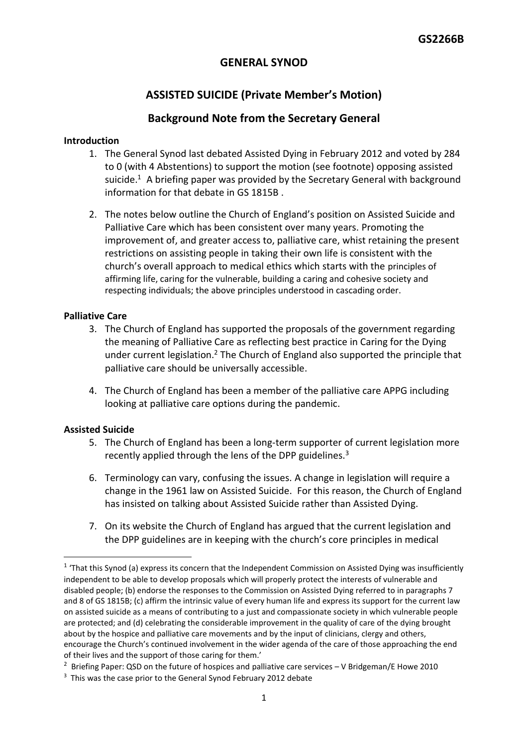## **GENERAL SYNOD**

# **ASSISTED SUICIDE (Private Member's Motion)**

### **Background Note from the Secretary General**

#### **Introduction**

- 1. The General Synod last debated Assisted Dying in February 2012 and voted by 284 to 0 (with 4 Abstentions) to support the motion (see footnote) opposing assisted suicide.<sup>1</sup> A briefing paper was provided by the Secretary General with background information for that debate in GS 1815B .
- 2. The notes below outline the Church of England's position on Assisted Suicide and Palliative Care which has been consistent over many years. Promoting the improvement of, and greater access to, palliative care, whist retaining the present restrictions on assisting people in taking their own life is consistent with the church's overall approach to medical ethics which starts with the principles of affirming life, caring for the vulnerable, building a caring and cohesive society and respecting individuals; the above principles understood in cascading order.

#### **Palliative Care**

- 3. The Church of England has supported the proposals of the government regarding the meaning of Palliative Care as reflecting best practice in Caring for the Dying under current legislation.<sup>2</sup> The Church of England also supported the principle that palliative care should be universally accessible.
- 4. The Church of England has been a member of the palliative care APPG including looking at palliative care options during the pandemic.

### **Assisted Suicide**

- 5. The Church of England has been a long-term supporter of current legislation more recently applied through the lens of the DPP guidelines. $3$
- 6. Terminology can vary, confusing the issues. A change in legislation will require a change in the 1961 law on Assisted Suicide. For this reason, the Church of England has insisted on talking about Assisted Suicide rather than Assisted Dying.
- 7. On its website the Church of England has argued that the current legislation and the DPP guidelines are in keeping with the church's core principles in medical

<sup>&</sup>lt;sup>1</sup> 'That this Synod (a) express its concern that the Independent Commission on Assisted Dying was insufficiently independent to be able to develop proposals which will properly protect the interests of vulnerable and disabled people; (b) endorse the responses to the Commission on Assisted Dying referred to in paragraphs 7 and 8 of GS 1815B; (c) affirm the intrinsic value of every human life and express its support for the current law on assisted suicide as a means of contributing to a just and compassionate society in which vulnerable people are protected; and (d) celebrating the considerable improvement in the quality of care of the dying brought about by the hospice and palliative care movements and by the input of clinicians, clergy and others, encourage the Church's continued involvement in the wider agenda of the care of those approaching the end of their lives and the support of those caring for them.'

<sup>&</sup>lt;sup>2</sup> Briefing Paper: QSD on the future of hospices and palliative care services – V Bridgeman/E Howe 2010

<sup>&</sup>lt;sup>3</sup> This was the case prior to the General Synod February 2012 debate